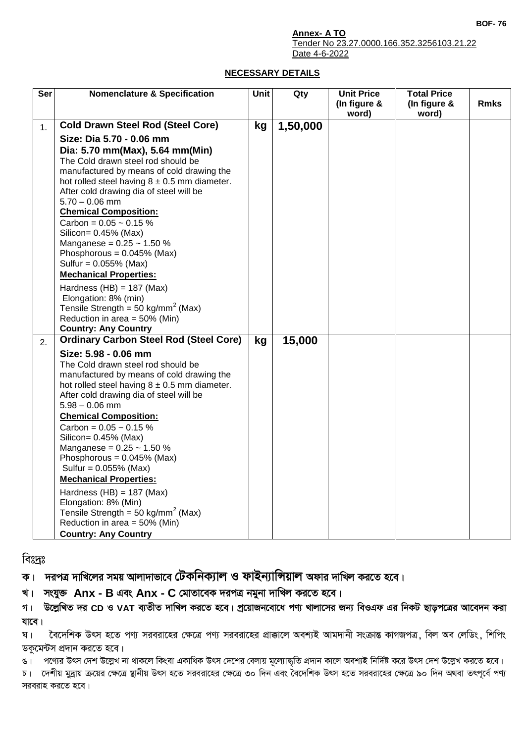**BOF- 76**

**Annex- A TO**

Tender No 23.27.0000.166.352.3256103.21.22 Date 4-6-2022

## **NECESSARY DETAILS**

| Ser | <b>Nomenclature &amp; Specification</b>                                                                                                                                                                                                                                                                                                                                                                                                                                                                                                                                                                                             | Unit | Qty      | <b>Unit Price</b>     | <b>Total Price</b>    |             |
|-----|-------------------------------------------------------------------------------------------------------------------------------------------------------------------------------------------------------------------------------------------------------------------------------------------------------------------------------------------------------------------------------------------------------------------------------------------------------------------------------------------------------------------------------------------------------------------------------------------------------------------------------------|------|----------|-----------------------|-----------------------|-------------|
|     |                                                                                                                                                                                                                                                                                                                                                                                                                                                                                                                                                                                                                                     |      |          | (In figure &<br>word) | (In figure &<br>word) | <b>Rmks</b> |
| 1.  | <b>Cold Drawn Steel Rod (Steel Core)</b>                                                                                                                                                                                                                                                                                                                                                                                                                                                                                                                                                                                            | kg   | 1,50,000 |                       |                       |             |
|     | Size: Dia 5.70 - 0.06 mm<br>Dia: 5.70 mm(Max), 5.64 mm(Min)<br>The Cold drawn steel rod should be<br>manufactured by means of cold drawing the<br>hot rolled steel having $8 \pm 0.5$ mm diameter.<br>After cold drawing dia of steel will be<br>$5.70 - 0.06$ mm<br><b>Chemical Composition:</b><br>Carbon = $0.05 \sim 0.15 \%$<br>Silicon= 0.45% (Max)<br>Manganese = $0.25 \sim 1.50 \%$<br>Phosphorous = $0.045%$ (Max)<br>Sulfur = 0.055% (Max)<br><b>Mechanical Properties:</b><br>Hardness (HB) = $187$ (Max)<br>Elongation: 8% (min)<br>Tensile Strength = 50 kg/mm <sup>2</sup> (Max)<br>Reduction in area = $50\%$ (Min) |      |          |                       |                       |             |
| 2.  | <b>Country: Any Country</b><br><b>Ordinary Carbon Steel Rod (Steel Core)</b>                                                                                                                                                                                                                                                                                                                                                                                                                                                                                                                                                        | kg   | 15,000   |                       |                       |             |
|     | Size: 5.98 - 0.06 mm<br>The Cold drawn steel rod should be<br>manufactured by means of cold drawing the<br>hot rolled steel having $8 \pm 0.5$ mm diameter.<br>After cold drawing dia of steel will be<br>$5.98 - 0.06$ mm<br><b>Chemical Composition:</b><br>Carbon = $0.05 \sim 0.15 \%$<br>Silicon= 0.45% (Max)<br>Manganese = $0.25 \sim 1.50 \%$<br>Phosphorous = $0.045%$ (Max)<br>Sulfur = $0.055%$ (Max)<br><b>Mechanical Properties:</b><br>Hardness $(HB) = 187$ (Max)<br>Elongation: 8% (Min)<br>Tensile Strength = 50 kg/mm <sup>2</sup> (Max)<br>Reduction in area = 50% (Min)<br><b>Country: Any Country</b>          |      |          |                       |                       |             |

বিঃদ্রঃ

ক। দরপত্র দাখিলের সময় আলাদাভাবে **টেকনিক্যাল ও ফাইন্যান্সিয়াল** অফার দাখিল করতে হবে।

খ। সংযুক্ত Anx - B এবং Anx - C মোতাবেক দরপত্র নমুনা দাখিল করতে হবে।

গ। উল্লেখিত দর CD ও VAT ব্যতীত দাখিল করতে হবে। প্রয়োজনবোধে পণ্য খালাসের জন্য বিওএফ এর নিকট ছাড়পত্রের আবেদন করা **যাবে**।

ঘ। বৈদেশিক উৎস হতে পণ্য সরবরাহের ক্ষেত্রে পণ্য সরবরাহের প্রাক্কালে অবশ্যই আমদানী সংক্রান্ত কাগজপত্র, বিল অব লেডিং, শিপিং ডকুমেন্টস প্রদান করতে হবে।

ঙ। পণ্যের উৎস দেশ উল্লেখ না থাকলে কিংবা একাধিক উৎস দেশের বেলায় মূল্যোদ্ধৃতি প্রদান কালে অবশ্যই নির্দিষ্ট করে উৎস দেশ উল্লেখ করতে হবে।

চ। দেশীয় মুদ্রায় ক্রয়ের ক্ষেত্রে স্থানীয় উৎস হতে সরবরাহের ক্ষেত্রে ৩০ দিন এবং বৈদেশিক উৎস হতে সরবরাহের ক্ষেত্রে ৯০ দিন অথবা তৎপূর্বে পণ্য সরবরাহ করতে হবে।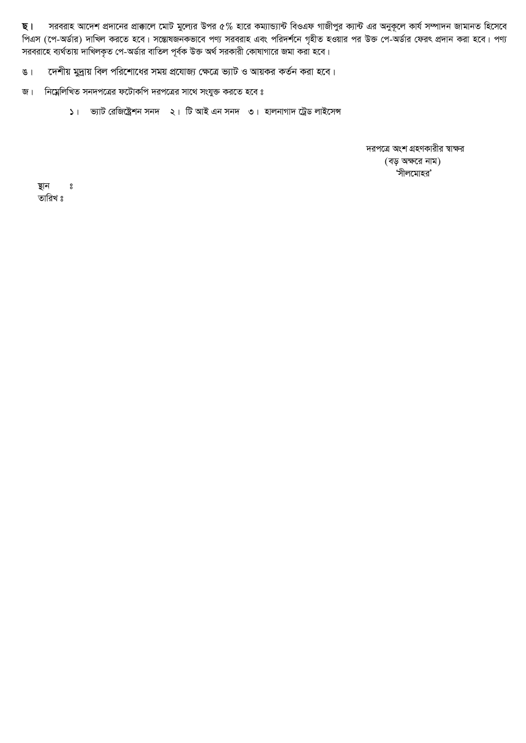সরবরাহ আদেশ প্রদানের প্রাক্কালে মোট মুল্যের উপর ৫% হারে কম্যান্ড্যান্ট বিওএফ গাজীপুর ক্যান্ট এর অনুকূলে কার্য সম্পাদন জামানত হিসেবে ছ। পিএস (পে-অর্ডার) দাখিল করতে হবে। সম্ভোষজনকভাবে পণ্য সরবরাহ এবং পরিদর্শনে গৃহীত হওয়ার পর উক্ত পে-অর্ডার ফেরৎ প্রদান করা হবে। পণ্য<br>সরবরাহে ব্যর্থতায় দাখিলকৃত পে-অর্ডার বাতিল পূর্বক উক্ত অর্থ সরকারী কোষাগারে জমা করা হবে।

দেশীয় মুদ্রায় বিল পরিশোধের সময় প্রযোজ্য ক্ষেত্রে ভ্যাট ও আয়কর কর্তন করা হবে।  $81$ 

নিম্নেলিখিত সনদপত্রের ফটোকপি দরপত্রের সাথে সংযুক্ত করতে হবে ঃ জ।

১। ভ্যাট রেজিষ্ট্রেশন সনদ ২। টি আই এন সনদ ৩। হালনাগাদ ট্রেড লাইসেন্স

দরপত্রে অংশ গ্রহণকারীর স্বাক্ষর (বড় অক্ষরে নাম) 'সীলমোহর'

স্থান  $\bf{S}$ তারিখ ঃ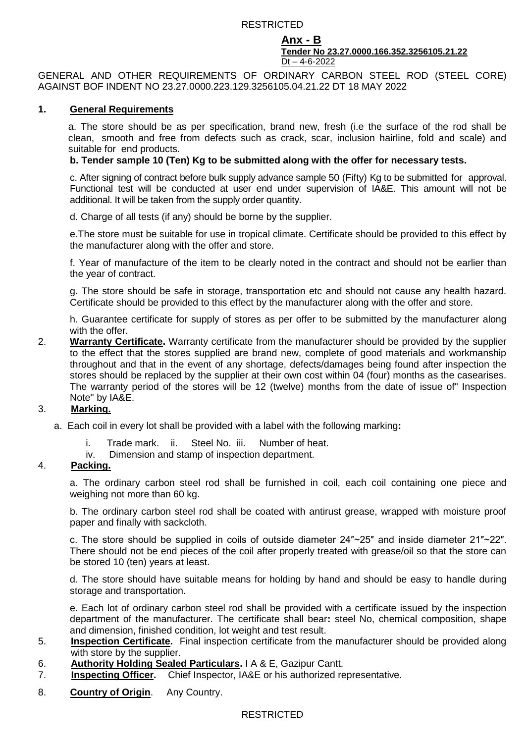## RESTRICTED

#### **Anx - B Tender No 23.27.0000.166.352.3256105.21.22** Dt – 4-6-2022

GENERAL AND OTHER REQUIREMENTS OF ORDINARY CARBON STEEL ROD (STEEL CORE) AGAINST BOF INDENT NO 23.27.0000.223.129.3256105.04.21.22 DT 18 MAY 2022

#### **1. General Requirements**

a. The store should be as per specification, brand new, fresh (i.e the surface of the rod shall be clean, smooth and free from defects such as crack, scar, inclusion hairline, fold and scale) and suitable for end products.

## **b. Tender sample 10 (Ten) Kg to be submitted along with the offer for necessary tests.**

c. After signing of contract before bulk supply advance sample 50 (Fifty) Kg to be submitted for approval. Functional test will be conducted at user end under supervision of IA&E. This amount will not be additional. It will be taken from the supply order quantity.

d. Charge of all tests (if any) should be borne by the supplier.

e.The store must be suitable for use in tropical climate. Certificate should be provided to this effect by the manufacturer along with the offer and store.

f. Year of manufacture of the item to be clearly noted in the contract and should not be earlier than the year of contract.

g. The store should be safe in storage, transportation etc and should not cause any health hazard. Certificate should be provided to this effect by the manufacturer along with the offer and store.

h. Guarantee certificate for supply of stores as per offer to be submitted by the manufacturer along with the offer.

2. **Warranty Certificate.** Warranty certificate from the manufacturer should be provided by the supplier to the effect that the stores supplied are brand new, complete of good materials and workmanship throughout and that in the event of any shortage, defects/damages being found after inspection the stores should be replaced by the supplier at their own cost within 04 (four) months as the casearises. The warranty period of the stores will be 12 (twelve) months from the date of issue of" Inspection Note" by IA&E.

### 3. **Marking.**

- a. Each coil in every lot shall be provided with a label with the following marking**:**
	- i. Trade mark. ii. Steel No. iii. Number of heat.
	- iv. Dimension and stamp of inspection department.

### 4. **Packing.**

a. The ordinary carbon steel rod shall be furnished in coil, each coil containing one piece and weighing not more than 60 kg.

b. The ordinary carbon steel rod shall be coated with antirust grease, wrapped with moisture proof paper and finally with sackcloth.

c. The store should be supplied in coils of outside diameter 24″~25″ and inside diameter 21″~22″. There should not be end pieces of the coil after properly treated with grease/oil so that the store can be stored 10 (ten) years at least.

d. The store should have suitable means for holding by hand and should be easy to handle during storage and transportation.

e. Each lot of ordinary carbon steel rod shall be provided with a certificate issued by the inspection department of the manufacturer. The certificate shall bear**:** steel No, chemical composition, shape and dimension, finished condition, lot weight and test result.

- 5. **Inspection Certificate.** Final inspection certificate from the manufacturer should be provided along with store by the supplier.
- 6. **Authority Holding Sealed Particulars.** I A & E, Gazipur Cantt.
- 7. **Inspecting Officer.** Chief Inspector, IA&E or his authorized representative.
- 8. **Country of Origin**. Any Country.

### **RESTRICTED**